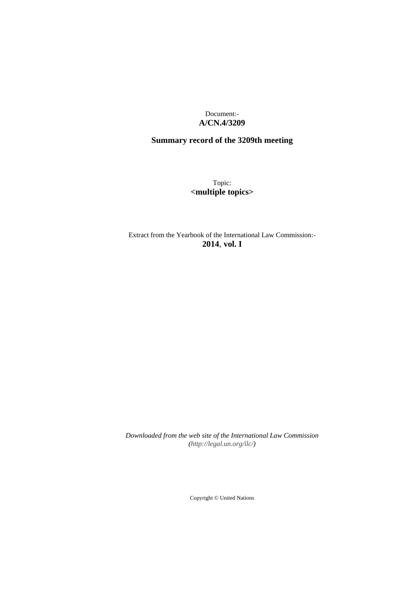Document:- **A/CN.4/3209**

# **Summary record of the 3209th meeting**

Topic: **<multiple topics>**

Extract from the Yearbook of the International Law Commission:- **2014**, **vol. I**

*Downloaded from the web site of the International Law Commission [\(http://legal.un.org/ilc/\)](http://legal.un.org/ilc/)*

Copyright © United Nations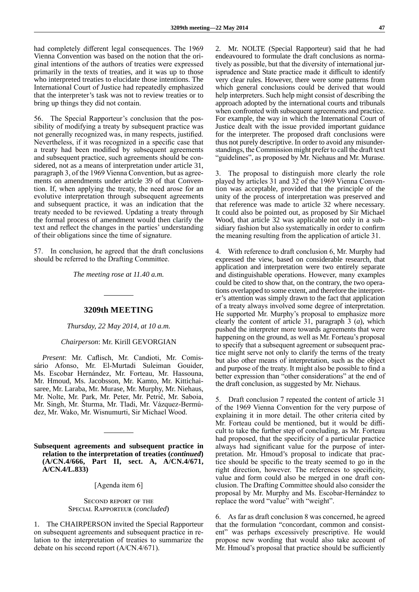had completely different legal consequences. The 1969 Vienna Convention was based on the notion that the original intentions of the authors of treaties were expressed primarily in the texts of treaties, and it was up to those who interpreted treaties to elucidate those intentions. The International Court of Justice had repeatedly emphasized that the interpreter's task was not to review treaties or to bring up things they did not contain.

56. The Special Rapporteur's conclusion that the possibility of modifying a treaty by subsequent practice was not generally recognized was, in many respects, justified. Nevertheless, if it was recognized in a specific case that a treaty had been modified by subsequent agreements and subsequent practice, such agreements should be considered, not as a means of interpretation under article 31, paragraph 3, of the 1969 Vienna Convention, but as agreements on amendments under article 39 of that Convention. If, when applying the treaty, the need arose for an evolutive interpretation through subsequent agreements and subsequent practice, it was an indication that the treaty needed to be reviewed. Updating a treaty through the formal process of amendment would then clarify the text and reflect the changes in the parties' understanding of their obligations since the time of signature.

57. In conclusion, he agreed that the draft conclusions should be referred to the Drafting Committee.

*The meeting rose at 11.40 a.m.*

## **3209th MEETING**

*Thursday, 22 May 2014, at 10 a.m.*

*Chairperson*: Mr. Kirill GEVORGIAN

*Present*: Mr. Caflisch, Mr. Candioti, Mr. Comissário Afonso, Mr. El-Murtadi Suleiman Gouider, Ms. Escobar Hernández, Mr. Forteau, Mr. Hassouna, Mr. Hmoud, Ms. Jacobsson, Mr. Kamto, Mr. Kittichaisaree, Mr. Laraba, Mr. Murase, Mr. Murphy, Mr. Niehaus, Mr. Nolte, Mr. Park, Mr. Peter, Mr. Petrič, Mr. Saboia, Mr. Singh, Mr. Šturma, Mr. Tladi, Mr. Vázquez-Bermúdez, Mr. Wako, Mr. Wisnumurti, Sir Michael Wood.

**Subsequent agreements and subsequent practice in relation to the interpretation of treaties (***continued***) (A/CN.4/666, Part II, sect. A, A/CN.4/671, A/CN.4/L.833)**

[Agenda item 6]

#### Second report of the Special Rapporteur (*concluded*)

1. The CHAIRPERSON invited the Special Rapporteur on subsequent agreements and subsequent practice in relation to the interpretation of treaties to summarize the debate on his second report (A/CN.4/671).

2. Mr. NOLTE (Special Rapporteur) said that he had endeavoured to formulate the draft conclusions as normatively as possible, but that the diversity of international jurisprudence and State practice made it difficult to identify very clear rules. However, there were some patterns from which general conclusions could be derived that would help interpreters. Such help might consist of describing the approach adopted by the international courts and tribunals when confronted with subsequent agreements and practice. For example, the way in which the International Court of Justice dealt with the issue provided important guidance for the interpreter. The proposed draft conclusions were thus not purely descriptive. In order to avoid any misunderstandings, the Commission might prefer to call the draft text "guidelines", as proposed by Mr. Niehaus and Mr. Murase.

3. The proposal to distinguish more clearly the role played by articles 31 and 32 of the 1969 Vienna Convention was acceptable, provided that the principle of the unity of the process of interpretation was preserved and that reference was made to article 32 where necessary. It could also be pointed out, as proposed by Sir Michael Wood, that article 32 was applicable not only in a subsidiary fashion but also systematically in order to confirm the meaning resulting from the application of article 31.

With reference to draft conclusion 6, Mr. Murphy had expressed the view, based on considerable research, that application and interpretation were two entirely separate and distinguishable operations. However, many examples could be cited to show that, on the contrary, the two operations overlapped to some extent, and therefore the interpreter's attention was simply drawn to the fact that application of a treaty always involved some degree of interpretation. He supported Mr. Murphy's proposal to emphasize more clearly the content of article 31, paragraph 3 (*a*), which pushed the interpreter more towards agreements that were happening on the ground, as well as Mr. Forteau's proposal to specify that a subsequent agreement or subsequent practice might serve not only to clarify the terms of the treaty but also other means of interpretation, such as the object and purpose of the treaty. It might also be possible to find a better expression than "other considerations" at the end of the draft conclusion, as suggested by Mr. Niehaus.

5. Draft conclusion 7 repeated the content of article 31 of the 1969 Vienna Convention for the very purpose of explaining it in more detail. The other criteria cited by Mr. Forteau could be mentioned, but it would be difficult to take the further step of concluding, as Mr. Forteau had proposed, that the specificity of a particular practice always had significant value for the purpose of interpretation. Mr. Hmoud's proposal to indicate that practice should be specific to the treaty seemed to go in the right direction, however. The references to specificity, value and form could also be merged in one draft conclusion. The Drafting Committee should also consider the proposal by Mr. Murphy and Ms. Escobar-Hernández to replace the word "value" with "weight".

6. As far as draft conclusion 8 was concerned, he agreed that the formulation "concordant, common and consistent" was perhaps excessively prescriptive. He would propose new wording that would also take account of Mr. Hmoud's proposal that practice should be sufficiently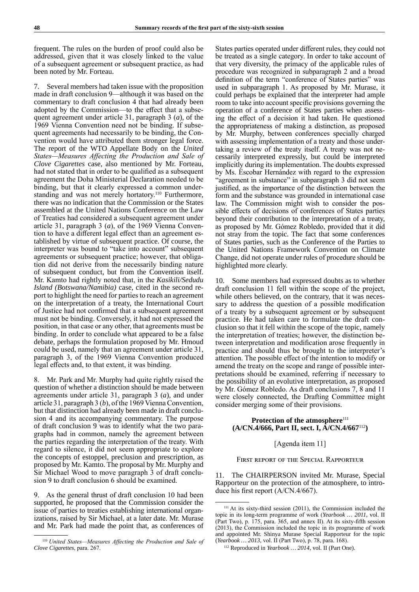frequent. The rules on the burden of proof could also be addressed, given that it was closely linked to the value of a subsequent agreement or subsequent practice, as had been noted by Mr. Forteau.

7. Several members had taken issue with the proposition made in draft conclusion 9—although it was based on the commentary to draft conclusion 4 that had already been adopted by the Commission—to the effect that a subsequent agreement under article 31, paragraph 3 (*a*), of the 1969 Vienna Convention need not be binding. If subsequent agreements had necessarily to be binding, the Convention would have attributed them stronger legal force. The report of the WTO Appellate Body on the *United States—Measures Affecting the Production and Sale of Clove Cigarettes* case, also mentioned by Mr. Forteau, had not stated that in order to be qualified as a subsequent agreement the Doha Ministerial Declaration needed to be binding, but that it clearly expressed a common understanding and was not merely hortatory.<sup>110</sup> Furthermore, there was no indication that the Commission or the States assembled at the United Nations Conference on the Law of Treaties had considered a subsequent agreement under article 31, paragraph 3 (*a*), of the 1969 Vienna Convention to have a different legal effect than an agreement established by virtue of subsequent practice. Of course, the interpreter was bound to "take into account" subsequent agreements or subsequent practice; however, that obligation did not derive from the necessarily binding nature of subsequent conduct, but from the Convention itself. Mr. Kamto had rightly noted that, in the *Kasikili/Sedudu Island (Botswana/Namibia)* case, cited in the second report to highlight the need for parties to reach an agreement on the interpretation of a treaty, the International Court of Justice had not confirmed that a subsequent agreement must not be binding. Conversely, it had not expressed the position, in that case or any other, that agreements must be binding. In order to conclude what appeared to be a false debate, perhaps the formulation proposed by Mr. Hmoud could be used, namely that an agreement under article 31, paragraph 3, of the 1969 Vienna Convention produced legal effects and, to that extent, it was binding.

8. Mr. Park and Mr. Murphy had quite rightly raised the question of whether a distinction should be made between agreements under article 31, paragraph 3 (*a*), and under article 31, paragraph 3 (*b*), of the 1969 Vienna Convention, but that distinction had already been made in draft conclusion 4 and its accompanying commentary. The purpose of draft conclusion 9 was to identify what the two paragraphs had in common, namely the agreement between the parties regarding the interpretation of the treaty. With regard to silence, it did not seem appropriate to explore the concepts of estoppel, preclusion and prescription, as proposed by Mr. Kamto. The proposal by Mr. Murphy and Sir Michael Wood to move paragraph 3 of draft conclusion 9 to draft conclusion 6 should be examined.

9. As the general thrust of draft conclusion 10 had been supported, he proposed that the Commission consider the issue of parties to treaties establishing international organizations, raised by Sir Michael, at a later date. Mr. Murase and Mr. Park had made the point that, as conferences of

States parties operated under different rules, they could not be treated as a single category. In order to take account of that very diversity, the primacy of the applicable rules of procedure was recognized in subparagraph 2 and a broad definition of the term "conference of States parties" was used in subparagraph 1. As proposed by Mr. Murase, it could perhaps be explained that the interpreter had ample room to take into account specific provisions governing the operation of a conference of States parties when assessing the effect of a decision it had taken. He questioned the appropriateness of making a distinction, as proposed by Mr. Murphy, between conferences specially charged with assessing implementation of a treaty and those undertaking a review of the treaty itself. A treaty was not necessarily interpreted expressly, but could be interpreted implicitly during its implementation. The doubts expressed by Ms. Escobar Hernández with regard to the expression "agreement in substance" in subparagraph 3 did not seem justified, as the importance of the distinction between the form and the substance was grounded in international case law. The Commission might wish to consider the possible effects of decisions of conferences of States parties beyond their contribution to the interpretation of a treaty, as proposed by Mr. Gómez Robledo, provided that it did not stray from the topic. The fact that some conferences of States parties, such as the Conference of the Parties to the United Nations Framework Convention on Climate Change, did not operate under rules of procedure should be highlighted more clearly.

10. Some members had expressed doubts as to whether draft conclusion 11 fell within the scope of the project, while others believed, on the contrary, that it was necessary to address the question of a possible modification of a treaty by a subsequent agreement or by subsequent practice. He had taken care to formulate the draft conclusion so that it fell within the scope of the topic, namely the interpretation of treaties; however, the distinction between interpretation and modification arose frequently in practice and should thus be brought to the interpreter's attention. The possible effect of the intention to modify or amend the treaty on the scope and range of possible interpretations should be examined, referring if necessary to the possibility of an evolutive interpretation, as proposed by Mr. Gómez Robledo. As draft conclusions 7, 8 and 11 were closely connected, the Drafting Committee might consider merging some of their provisions.

# Protection of the atmosphere<sup>111</sup> **(A/CN.4/666, Part II, sect. I, A/CN.4/667**<sup>112</sup>**)**

## [Agenda item 11]

#### First report of the Special Rapporteur

The CHAIRPERSON invited Mr. Murase, Special Rapporteur on the protection of the atmosphere, to introduce his first report (A/CN.4/667).

<sup>110</sup> *United States—Measures Affecting the Production and Sale of Clove Cigarettes*, para. 267.

<sup>111</sup> At its sixty-third session (2011), the Commission included the topic in its long-term programme of work (*Yearbook … 2011*, vol. II (Part Two), p. 175, para. 365, and annex II). At its sixty-fifth session (2013), the Commission included the topic in its programme of work and appointed Mr. Shinya Murase Special Rapporteur for the topic (*Yearbook … 2013*, vol. II (Part Two), p. 78, para. 168).

<sup>112</sup> Reproduced in *Yearbook … 2014*, vol. II (Part One).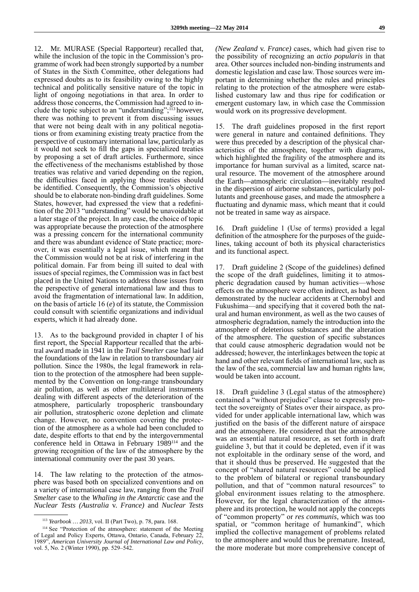12. Mr. MURASE (Special Rapporteur) recalled that, while the inclusion of the topic in the Commission's programme of work had been strongly supported by a number of States in the Sixth Committee, other delegations had expressed doubts as to its feasibility owing to the highly technical and politically sensitive nature of the topic in light of ongoing negotiations in that area. In order to address those concerns, the Commission had agreed to include the topic subject to an "understanding";<sup>113</sup> however, there was nothing to prevent it from discussing issues that were not being dealt with in any political negotiations or from examining existing treaty practice from the perspective of customary international law, particularly as it would not seek to fill the gaps in specialized treaties by proposing a set of draft articles. Furthermore, since the effectiveness of the mechanisms established by those treaties was relative and varied depending on the region, the difficulties faced in applying those treaties should be identified. Consequently, the Commission's objective should be to elaborate non-binding draft guidelines. Some States, however, had expressed the view that a redefinition of the 2013 "understanding" would be unavoidable at a later stage of the project. In any case, the choice of topic was appropriate because the protection of the atmosphere was a pressing concern for the international community and there was abundant evidence of State practice; moreover, it was essentially a legal issue, which meant that the Commission would not be at risk of interfering in the political domain. Far from being ill suited to deal with issues of special regimes, the Commission was in fact best placed in the United Nations to address those issues from the perspective of general international law and thus to avoid the fragmentation of international law. In addition, on the basis of article 16 (*e*) of its statute, the Commission could consult with scientific organizations and individual experts, which it had already done.

13. As to the background provided in chapter I of his first report, the Special Rapporteur recalled that the arbitral award made in 1941 in the *Trail Smelter* case had laid the foundations of the law in relation to transboundary air pollution. Since the 1980s, the legal framework in relation to the protection of the atmosphere had been supplemented by the Convention on long-range transboundary air pollution, as well as other multilateral instruments dealing with different aspects of the deterioration of the atmosphere, particularly tropospheric transboundary air pollution, stratospheric ozone depletion and climate change. However, no convention covering the protection of the atmosphere as a whole had been concluded to date, despite efforts to that end by the intergovernmental conference held in Ottawa in February 1989114 and the growing recognition of the law of the atmosphere by the international community over the past 30 years.

14. The law relating to the protection of the atmosphere was based both on specialized conventions and on a variety of international case law, ranging from the *Trail Smelter* case to the *Whaling in the Antarctic* case and the *Nuclear Tests (Australia* v. *France)* and *Nuclear Tests* 

*(New Zealand* v. *France)* cases, which had given rise to the possibility of recognizing an *actio popularis* in that area. Other sources included non-binding instruments and domestic legislation and case law. Those sources were important in determining whether the rules and principles relating to the protection of the atmosphere were established customary law and thus ripe for codification or emergent customary law, in which case the Commission would work on its progressive development.

15. The draft guidelines proposed in the first report were general in nature and contained definitions. They were thus preceded by a description of the physical characteristics of the atmosphere, together with diagrams, which highlighted the fragility of the atmosphere and its importance for human survival as a limited, scarce natural resource. The movement of the atmosphere around the Earth—atmospheric circulation—inevitably resulted in the dispersion of airborne substances, particularly pollutants and greenhouse gases, and made the atmosphere a fluctuating and dynamic mass, which meant that it could not be treated in same way as airspace.

16. Draft guideline 1 (Use of terms) provided a legal definition of the atmosphere for the purposes of the guidelines, taking account of both its physical characteristics and its functional aspect.

17. Draft guideline 2 (Scope of the guidelines) defined the scope of the draft guidelines, limiting it to atmospheric degradation caused by human activities—whose effects on the atmosphere were often indirect, as had been demonstrated by the nuclear accidents at Chernobyl and Fukushima—and specifying that it covered both the natural and human environment, as well as the two causes of atmospheric degradation, namely the introduction into the atmosphere of deleterious substances and the alteration of the atmosphere. The question of specific substances that could cause atmospheric degradation would not be addressed; however, the interlinkages between the topic at hand and other relevant fields of international law, such as the law of the sea, commercial law and human rights law, would be taken into account.

18. Draft guideline 3 (Legal status of the atmosphere) contained a "without prejudice" clause to expressly protect the sovereignty of States over their airspace, as provided for under applicable international law, which was justified on the basis of the different nature of airspace and the atmosphere. He considered that the atmosphere was an essential natural resource, as set forth in draft guideline 3, but that it could be depleted, even if it was not exploitable in the ordinary sense of the word, and that it should thus be preserved. He suggested that the concept of "shared natural resources" could be applied to the problem of bilateral or regional transboundary pollution, and that of "common natural resources" to global environment issues relating to the atmosphere. However, for the legal characterization of the atmosphere and its protection, he would not apply the concepts of "common property" or *res communis*, which was too spatial, or "common heritage of humankind", which implied the collective management of problems related to the atmosphere and would thus be premature. Instead, the more moderate but more comprehensive concept of

<sup>113</sup> *Yearbook … 2013*, vol. II (Part Two), p. 78, para. 168.

<sup>114</sup> See "Protection of the atmosphere: statement of the Meeting of Legal and Policy Experts, Ottawa, Ontario, Canada, February 22, 1989", *American University Journal of International Law and Policy*, vol. 5, No. 2 (Winter 1990), pp. 529–542.